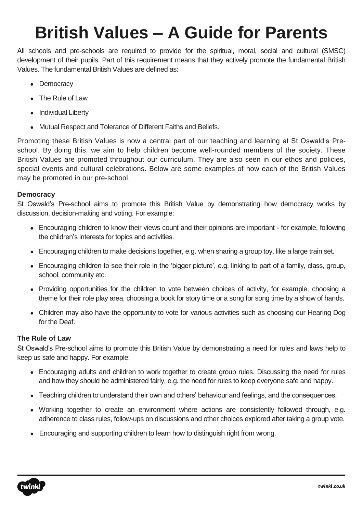# **British Values – A Guide for Parents**

All schools and pre-schools are required to provide for the spiritual, moral, social and cultural (SMSC) development of their pupils. Part of this requirement means that they actively promote the fundamental British Values. The fundamental British Values are defined as:

- Democracy
- The Rule of Law
- Individual Liberty
- Mutual Respect and Tolerance of Different Faiths and Beliefs.

Promoting these British Values is now a central part of our teaching and learning at St Oswald's Preschool. By doing this, we aim to help children become well-rounded members of the society. These British Values are promoted throughout our curriculum. They are also seen in our ethos and policies, special events and cultural celebrations. Below are some examples of how each of the British Values may be promoted in our pre-school.

### **Democracy**

St Oswald's Pre-school aims to promote this British Value by demonstrating how democracy works by discussion, decision-making and voting. For example:

- Encouraging children to know their views count and their opinions are important for example, following the children's interests for topics and activities.
- Encouraging children to make decisions together, e.g. when sharing a group toy, like a large train set.
- Encouraging children to see their role in the 'bigger picture', e.g. linking to part of a family, class, group, school, community etc.
- Providing opportunities for the children to vote between choices of activity, for example, choosing a theme for their role play area, choosing a book for story time or a song for song time by a show of hands.
- Children may also have the opportunity to vote for various activities such as choosing our Hearing Dog for the Deaf.

### **The Rule of Law**

St Oswald's Pre-school aims to promote this British Value by demonstrating a need for rules and laws help to keep us safe and happy. For example:

- Encouraging adults and children to work together to create group rules. Discussing the need for rules and how they should be administered fairly, e.g. the need for rules to keep everyone safe and happy.
- Teaching children to understand their own and others' behaviour and feelings, and the consequences.
- Working together to create an environment where actions are consistently followed through, e.g. adherence to class rules, follow-ups on discussions and other choices explored after taking a group vote.
- Encouraging and supporting children to learn how to distinguish right from wrong.